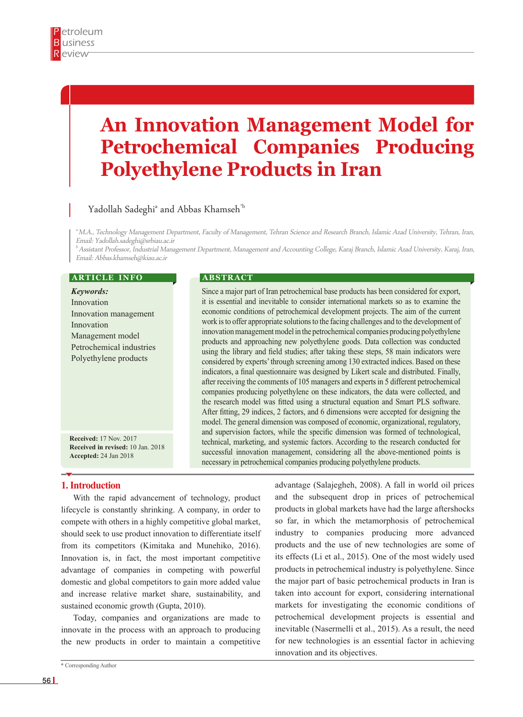# **An Innovation Management Model for Petrochemical Companies Producing Polyethylene Products in Iran**

# Yadollah Sadeghi $^{\textrm{\tiny{a}}}$  and Abbas Khamseh $^{\textrm{\tiny{b}}}$

a M.A., Technology Management Department, Faculty of Management, Tehran Science and Research Branch, Islamic Azad University, Tehran, Iran, Email: Yadollah.sadeghi@srbiau.ac.ir

 $^b$  Assistant Professor, Industrial Management Department, Management and Accounting College, Karaj Branch, Islamic Azad University, Karaj, Iran, Email: Abbas.khamseh@kiau.ac.ir

#### **ARTICLE INFO**

*Keywords:* Innovation Innovation management Innovation Management model Petrochemical industries Polyethylene products

**Received:** 17 Nov. 2017 **Received in revised:** 10 Jan. 2018 **Accepted:** 24 Jan 2018

#### **A B S T R A C T**

Since a major part of Iran petrochemical base products has been considered for export, it is essential and inevitable to consider international markets so as to examine the economic conditions of petrochemical development projects. The aim of the current work is to offer appropriate solutions to the facing challenges and to the development of innovation management model in the petrochemical companies producing polyethylene products and approaching new polyethylene goods. Data collection was conducted using the library and field studies; after taking these steps, 58 main indicators were considered by experts' through screening among 130 extracted indices. Based on these indicators, a final questionnaire was designed by Likert scale and distributed. Finally, after receiving the comments of 105 managers and experts in 5 different petrochemical companies producing polyethylene on these indicators, the data were collected, and the research model was fitted using a structural equation and Smart PLS software. After fitting, 29 indices, 2 factors, and 6 dimensions were accepted for designing the model. The general dimension was composed of economic, organizational, regulatory, and supervision factors, while the specific dimension was formed of technological, technical, marketing, and systemic factors. According to the research conducted for successful innovation management, considering all the above-mentioned points is necessary in petrochemical companies producing polyethylene products.

# **1. Introduction**

With the rapid advancement of technology, product lifecycle is constantly shrinking. A company, in order to compete with others in a highly competitive global market, should seek to use product innovation to differentiate itself from its competitors (Kimitaka and Munehiko, 2016). Innovation is, in fact, the most important competitive advantage of companies in competing with powerful domestic and global competitors to gain more added value and increase relative market share, sustainability, and sustained economic growth (Gupta, 2010).

Today, companies and organizations are made to innovate in the process with an approach to producing the new products in order to maintain a competitive

\* Corresponding Author

advantage (Salajegheh, 2008). A fall in world oil prices and the subsequent drop in prices of petrochemical products in global markets have had the large aftershocks so far, in which the metamorphosis of petrochemical industry to companies producing more advanced products and the use of new technologies are some of its effects (Li et al., 2015). One of the most widely used products in petrochemical industry is polyethylene. Since the major part of basic petrochemical products in Iran is taken into account for export, considering international markets for investigating the economic conditions of petrochemical development projects is essential and inevitable (Nasermelli et al., 2015). As a result, the need for new technologies is an essential factor in achieving innovation and its objectives.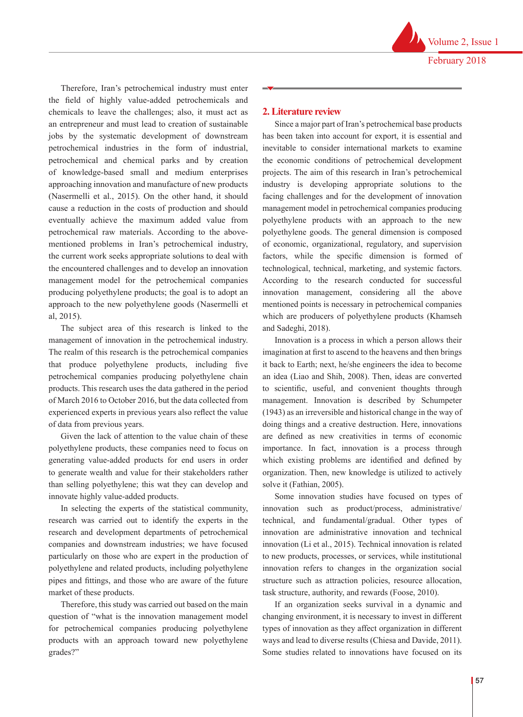Therefore, Iran's petrochemical industry must enter the field of highly value-added petrochemicals and chemicals to leave the challenges; also, it must act as an entrepreneur and must lead to creation of sustainable jobs by the systematic development of downstream petrochemical industries in the form of industrial, petrochemical and chemical parks and by creation of knowledge-based small and medium enterprises approaching innovation and manufacture of new products (Nasermelli et al., 2015). On the other hand, it should cause a reduction in the costs of production and should eventually achieve the maximum added value from petrochemical raw materials. According to the abovementioned problems in Iran's petrochemical industry, the current work seeks appropriate solutions to deal with the encountered challenges and to develop an innovation management model for the petrochemical companies producing polyethylene products; the goal is to adopt an approach to the new polyethylene goods (Nasermelli et al, 2015).

The subject area of this research is linked to the management of innovation in the petrochemical industry. The realm of this research is the petrochemical companies that produce polyethylene products, including five petrochemical companies producing polyethylene chain products. This research uses the data gathered in the period of March 2016 to October 2016, but the data collected from experienced experts in previous years also reflect the value of data from previous years.

Given the lack of attention to the value chain of these polyethylene products, these companies need to focus on generating value-added products for end users in order to generate wealth and value for their stakeholders rather than selling polyethylene; this wat they can develop and innovate highly value-added products.

In selecting the experts of the statistical community, research was carried out to identify the experts in the research and development departments of petrochemical companies and downstream industries; we have focused particularly on those who are expert in the production of polyethylene and related products, including polyethylene pipes and fittings, and those who are aware of the future market of these products.

Therefore, this study was carried out based on the main question of "what is the innovation management model for petrochemical companies producing polyethylene products with an approach toward new polyethylene grades?"

#### **2. Literature review**

Since a major part of Iran's petrochemical base products has been taken into account for export, it is essential and inevitable to consider international markets to examine the economic conditions of petrochemical development projects. The aim of this research in Iran's petrochemical industry is developing appropriate solutions to the facing challenges and for the development of innovation management model in petrochemical companies producing polyethylene products with an approach to the new polyethylene goods. The general dimension is composed of economic, organizational, regulatory, and supervision factors, while the specific dimension is formed of technological, technical, marketing, and systemic factors. According to the research conducted for successful innovation management, considering all the above mentioned points is necessary in petrochemical companies which are producers of polyethylene products (Khamseh and Sadeghi, 2018).

Innovation is a process in which a person allows their imagination at first to ascend to the heavens and then brings it back to Earth; next, he/she engineers the idea to become an idea (Liao and Shih, 2008). Then, ideas are converted to scientific, useful, and convenient thoughts through management. Innovation is described by Schumpeter (1943) as an irreversible and historical change in the way of doing things and a creative destruction. Here, innovations are defined as new creativities in terms of economic importance. In fact, innovation is a process through which existing problems are identified and defined by organization. Then, new knowledge is utilized to actively solve it (Fathian, 2005).

Some innovation studies have focused on types of innovation such as product/process, administrative/ technical, and fundamental/gradual. Other types of innovation are administrative innovation and technical innovation (Li et al., 2015). Technical innovation is related to new products, processes, or services, while institutional innovation refers to changes in the organization social structure such as attraction policies, resource allocation, task structure, authority, and rewards (Foose, 2010).

If an organization seeks survival in a dynamic and changing environment, it is necessary to invest in different types of innovation as they affect organization in different ways and lead to diverse results (Chiesa and Davide, 2011). Some studies related to innovations have focused on its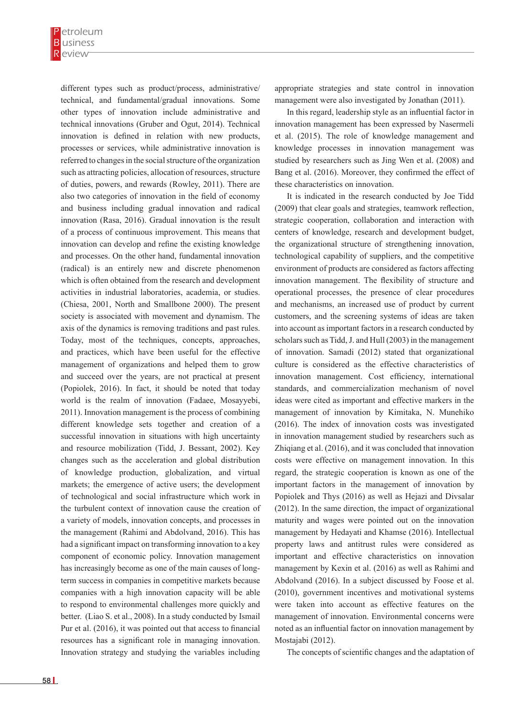different types such as product/process, administrative/ technical, and fundamental/gradual innovations. Some other types of innovation include administrative and technical innovations (Gruber and Ogut, 2014). Technical innovation is defined in relation with new products, processes or services, while administrative innovation is referred to changes in the social structure of the organization such as attracting policies, allocation of resources, structure of duties, powers, and rewards (Rowley, 2011). There are also two categories of innovation in the field of economy and business including gradual innovation and radical innovation (Rasa, 2016). Gradual innovation is the result of a process of continuous improvement. This means that innovation can develop and refine the existing knowledge and processes. On the other hand, fundamental innovation (radical) is an entirely new and discrete phenomenon which is often obtained from the research and development activities in industrial laboratories, academia, or studies. (Chiesa, 2001, North and Smallbone 2000). The present society is associated with movement and dynamism. The axis of the dynamics is removing traditions and past rules. Today, most of the techniques, concepts, approaches, and practices, which have been useful for the effective management of organizations and helped them to grow and succeed over the years, are not practical at present (Popiolek, 2016). In fact, it should be noted that today world is the realm of innovation (Fadaee, Mosayyebi, 2011). Innovation management is the process of combining different knowledge sets together and creation of a successful innovation in situations with high uncertainty and resource mobilization (Tidd, J. Bessant, 2002). Key changes such as the acceleration and global distribution of knowledge production, globalization, and virtual markets; the emergence of active users; the development of technological and social infrastructure which work in the turbulent context of innovation cause the creation of a variety of models, innovation concepts, and processes in the management (Rahimi and Abdolvand, 2016). This has had a significant impact on transforming innovation to a key component of economic policy. Innovation management has increasingly become as one of the main causes of longterm success in companies in competitive markets because companies with a high innovation capacity will be able to respond to environmental challenges more quickly and better. (Liao S. et al., 2008). In a study conducted by Ismail Pur et al. (2016), it was pointed out that access to financial resources has a significant role in managing innovation. Innovation strategy and studying the variables including

appropriate strategies and state control in innovation management were also investigated by Jonathan (2011).

In this regard, leadership style as an influential factor in innovation management has been expressed by Nasermeli et al. (2015). The role of knowledge management and knowledge processes in innovation management was studied by researchers such as Jing Wen et al. (2008) and Bang et al. (2016). Moreover, they confirmed the effect of these characteristics on innovation.

It is indicated in the research conducted by Joe Tidd (2009) that clear goals and strategies, teamwork reflection, strategic cooperation, collaboration and interaction with centers of knowledge, research and development budget, the organizational structure of strengthening innovation, technological capability of suppliers, and the competitive environment of products are considered as factors affecting innovation management. The flexibility of structure and operational processes, the presence of clear procedures and mechanisms, an increased use of product by current customers, and the screening systems of ideas are taken into account as important factors in a research conducted by scholars such as Tidd, J. and Hull (2003) in the management of innovation. Samadi (2012) stated that organizational culture is considered as the effective characteristics of innovation management. Cost efficiency, international standards, and commercialization mechanism of novel ideas were cited as important and effective markers in the management of innovation by Kimitaka, N. Munehiko (2016). The index of innovation costs was investigated in innovation management studied by researchers such as Zhiqiang et al. (2016), and it was concluded that innovation costs were effective on management innovation. In this regard, the strategic cooperation is known as one of the important factors in the management of innovation by Popiolek and Thys (2016) as well as Hejazi and Divsalar (2012). In the same direction, the impact of organizational maturity and wages were pointed out on the innovation management by Hedayati and Khamse (2016). Intellectual property laws and antitrust rules were considered as important and effective characteristics on innovation management by Kexin et al. (2016) as well as Rahimi and Abdolvand (2016). In a subject discussed by Foose et al. (2010), government incentives and motivational systems were taken into account as effective features on the management of innovation. Environmental concerns were noted as an influential factor on innovation management by Mostajabi (2012).

The concepts of scientific changes and the adaptation of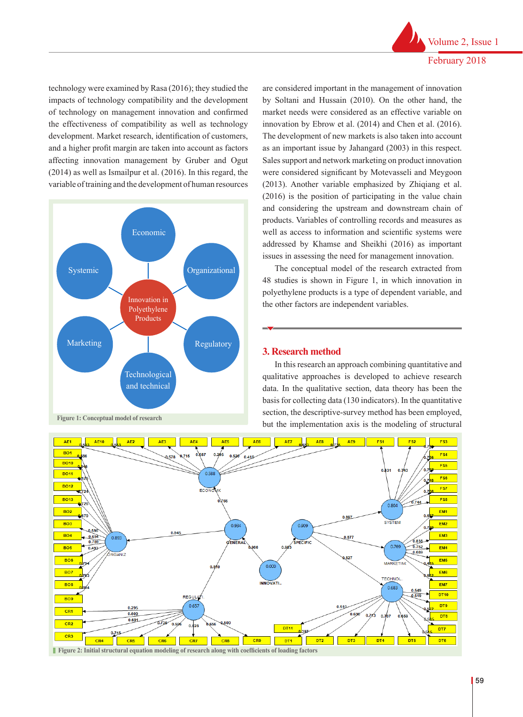technology were examined by Rasa (2016); they studied the impacts of technology compatibility and the development of technology on management innovation and confirmed the effectiveness of compatibility as well as technology development. Market research, identification of customers, and a higher profit margin are taken into account as factors affecting innovation management by Gruber and Ogut (2014) as well as Ismailpur et al. (2016). In this regard, the variable of training and the development of human resources



are considered important in the management of innovation by Soltani and Hussain (2010). On the other hand, the market needs were considered as an effective variable on innovation by Ebrow et al. (2014) and Chen et al. (2016). The development of new markets is also taken into account as an important issue by Jahangard (2003) in this respect. Sales support and network marketing on product innovation were considered significant by Motevasseli and Meygoon (2013). Another variable emphasized by Zhiqiang et al. (2016) is the position of participating in the value chain and considering the upstream and downstream chain of products. Variables of controlling records and measures as well as access to information and scientific systems were addressed by Khamse and Sheikhi (2016) as important issues in assessing the need for management innovation.

The conceptual model of the research extracted from 48 studies is shown in Figure 1, in which innovation in 48 studies is shown in Figure 1, in which innovation in polyethylene products is a type of dependent variable, and the other factors are independent variables.

#### **3. Research method**

In this research an approach combining quantitative and qualitative approaches is developed to achieve research data. In the qualitative section, data theory has been the basis for collecting data (130 indicators). In the quantitative section, the descriptive-survey method has been employed, but the implementation axis is the modeling of structural



**Figure 2: Initial structural equation modeling of research along with coefficients of loading factors**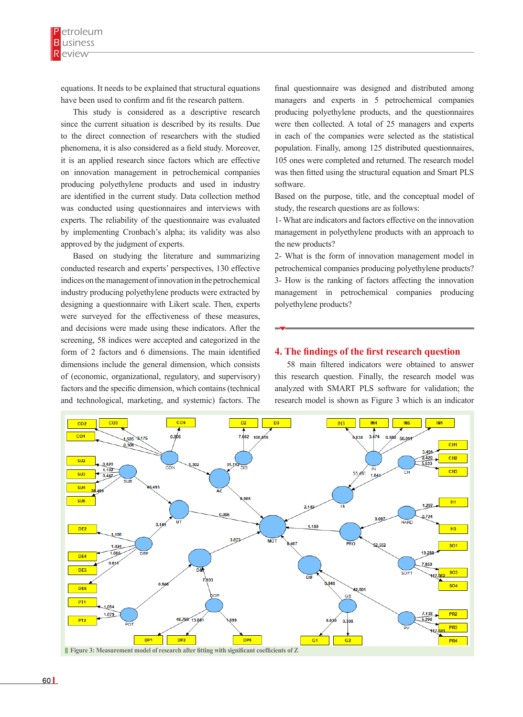equations. It needs to be explained that structural equations have been used to confirm and fit the research pattern.

This study is considered as a descriptive research since the current situation is described by its results. Due to the direct connection of researchers with the studied phenomena, it is also considered as a field study. Moreover, it is an applied research since factors which are effective on innovation management in petrochemical companies producing polyethylene products and used in industry are identified in the current study. Data collection method was conducted using questionnaires and interviews with experts. The reliability of the questionnaire was evaluated by implementing Cronbach's alpha; its validity was also approved by the judgment of experts.

Based on studying the literature and summarizing conducted research and experts' perspectives, 130 effective indices on the management of innovation in the petrochemical industry producing polyethylene products were extracted by designing a questionnaire with Likert scale. Then, experts were surveyed for the effectiveness of these measures, and decisions were made using these indicators. After the screening, 58 indices were accepted and categorized in the form of 2 factors and 6 dimensions. The main identified dimensions include the general dimension, which consists of (economic, organizational, regulatory, and supervisory) factors and the specific dimension, which contains (technical and technological, marketing, and systemic) factors. The

final questionnaire was designed and distributed among managers and experts in 5 petrochemical companies producing polyethylene products, and the questionnaires were then collected. A total of 25 managers and experts in each of the companies were selected as the statistical population. Finally, among 125 distributed questionnaires, 105 ones were completed and returned. The research model was then fitted using the structural equation and Smart PLS software.

Based on the purpose, title, and the conceptual model of study, the research questions are as follows:

1- What are indicators and factors effective on the innovation management in polyethylene products with an approach to the new products?

2- What is the form of innovation management model in petrochemical companies producing polyethylene products? 3- How is the ranking of factors affecting the innovation management in petrochemical companies producing polyethylene products?

#### **4. The findings of the first research question**

58 main filtered indicators were obtained to answer this research question. Finally, the research model was analyzed with SMART PLS software for validation; the research model is shown as Figure 3 which is an indicator

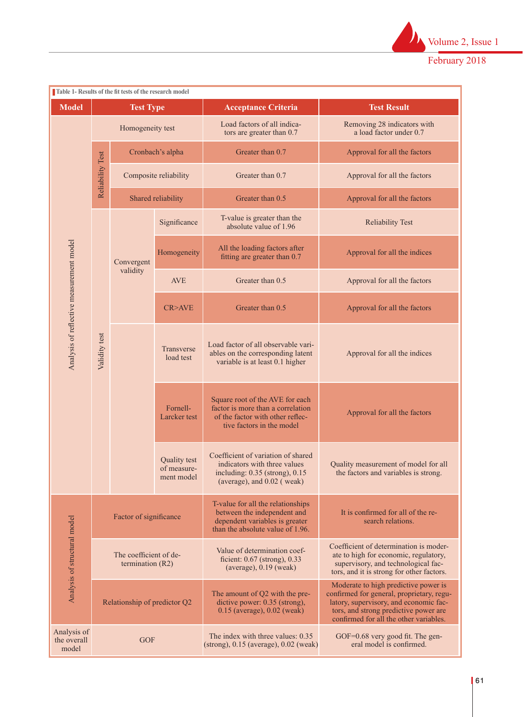

|                                          |                  | Table 1- Results of the fit tests of the research model |                                                  |                                                                                                                                          |                                                                                                                                                                                                                |
|------------------------------------------|------------------|---------------------------------------------------------|--------------------------------------------------|------------------------------------------------------------------------------------------------------------------------------------------|----------------------------------------------------------------------------------------------------------------------------------------------------------------------------------------------------------------|
| <b>Model</b>                             |                  | <b>Test Type</b>                                        |                                                  | <b>Acceptance Criteria</b>                                                                                                               | <b>Test Result</b>                                                                                                                                                                                             |
| Analysis of reflective measurement model |                  | Homogeneity test                                        |                                                  | Load factors of all indica-<br>tors are greater than 0.7                                                                                 | Removing 28 indicators with<br>a load factor under 0.7                                                                                                                                                         |
|                                          | Reliability Test |                                                         | Cronbach's alpha                                 | Greater than 0.7                                                                                                                         | Approval for all the factors                                                                                                                                                                                   |
|                                          |                  |                                                         | Composite reliability                            | Greater than 0.7                                                                                                                         | Approval for all the factors                                                                                                                                                                                   |
|                                          |                  |                                                         | Shared reliability                               | Greater than 0.5                                                                                                                         | Approval for all the factors                                                                                                                                                                                   |
|                                          |                  | Convergent<br>validity                                  | Significance                                     | T-value is greater than the<br>absolute value of 1.96                                                                                    | <b>Reliability Test</b>                                                                                                                                                                                        |
|                                          |                  |                                                         | Homogeneity                                      | All the loading factors after<br>fitting are greater than 0.7                                                                            | Approval for all the indices                                                                                                                                                                                   |
|                                          |                  |                                                         | <b>AVE</b>                                       | Greater than 0.5                                                                                                                         | Approval for all the factors                                                                                                                                                                                   |
|                                          |                  |                                                         | CR>AVE                                           | Greater than 0.5                                                                                                                         | Approval for all the factors                                                                                                                                                                                   |
|                                          | Validity test    |                                                         | Transverse<br>load test                          | Load factor of all observable vari-<br>ables on the corresponding latent<br>variable is at least 0.1 higher                              | Approval for all the indices                                                                                                                                                                                   |
|                                          |                  |                                                         | Fornell-<br>Larcker test                         | Square root of the AVE for each<br>factor is more than a correlation<br>of the factor with other reflec-<br>tive factors in the model    | Approval for all the factors                                                                                                                                                                                   |
|                                          |                  |                                                         | <b>Quality test</b><br>of measure-<br>ment model | Coefficient of variation of shared<br>indicators with three values<br>including: $0.35$ (strong), $0.15$<br>(average), and $0.02$ (weak) | Quality measurement of model for all<br>the factors and variables is strong.                                                                                                                                   |
| Analysis of structural model             |                  | Factor of significance                                  |                                                  | T-value for all the relationships<br>between the independent and<br>dependent variables is greater<br>than the absolute value of 1.96.   | It is confirmed for all of the re-<br>search relations.                                                                                                                                                        |
|                                          |                  | The coefficient of de-<br>termination $(R2)$            |                                                  | Value of determination coef-<br>ficient: $0.67$ (strong), $0.33$<br>$(average), 0.19$ (weak)                                             | Coefficient of determination is moder-<br>ate to high for economic, regulatory,<br>supervisory, and technological fac-<br>tors, and it is strong for other factors.                                            |
|                                          |                  | Relationship of predictor Q2                            |                                                  | The amount of Q2 with the pre-<br>dictive power: 0.35 (strong),<br>$0.15$ (average), $0.02$ (weak)                                       | Moderate to high predictive power is<br>confirmed for general, proprietary, regu-<br>latory, supervisory, and economic fac-<br>tors, and strong predictive power are<br>confirmed for all the other variables. |
| Analysis of<br>the overall<br>model      | <b>GOF</b>       |                                                         |                                                  | The index with three values: 0.35<br>$(\text{strong})$ , 0.15 (average), 0.02 (weak)                                                     | GOF=0.68 very good fit. The gen-<br>eral model is confirmed.                                                                                                                                                   |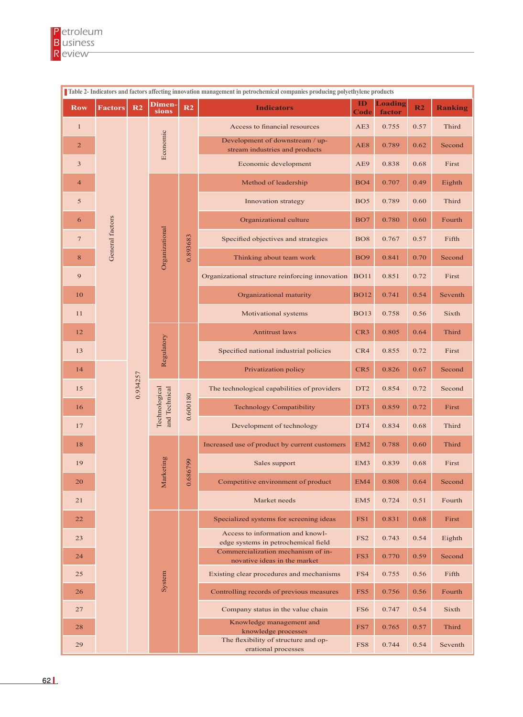| Table 2- Indicators and factors affecting innovation management in petrochemical companies producing polyethylene products |                 |          |                                                  |                      |                                                                                         |                 |                          |                |                |
|----------------------------------------------------------------------------------------------------------------------------|-----------------|----------|--------------------------------------------------|----------------------|-----------------------------------------------------------------------------------------|-----------------|--------------------------|----------------|----------------|
| <b>Row</b>                                                                                                                 | <b>Factors</b>  | R2       | Dimen-<br>sions                                  | R2                   | <b>Indicators</b>                                                                       | ID<br>Code      | <b>Loading</b><br>factor | R <sub>2</sub> | <b>Ranking</b> |
| $\mathbf{1}$                                                                                                               |                 |          | Economic                                         |                      | Access to financial resources                                                           |                 | 0.755                    | 0.57           | Third          |
| $\overline{c}$                                                                                                             |                 |          |                                                  |                      | Development of downstream / up-<br>stream industries and products                       | AE8             | 0.789                    | 0.62           | Second         |
| 3                                                                                                                          |                 |          |                                                  |                      | Economic development                                                                    |                 | 0.838                    | 0.68           | First          |
| $\overline{4}$                                                                                                             |                 |          | Organizational                                   | 0.893683             | Method of leadership                                                                    |                 | 0.707                    | 0.49           | Eighth         |
| 5                                                                                                                          |                 |          |                                                  |                      | Innovation strategy                                                                     | BO <sub>5</sub> | 0.789                    | 0.60           | Third          |
| 6                                                                                                                          |                 |          |                                                  |                      | Organizational culture                                                                  | BO7             | 0.780                    | 0.60           | Fourth         |
| $\tau$                                                                                                                     | General factors |          |                                                  |                      | Specified objectives and strategies                                                     | <b>BO8</b>      | 0.767                    | 0.57           | Fifth          |
| $8\,$                                                                                                                      |                 |          |                                                  |                      | Thinking about team work                                                                |                 | 0.841                    | 0.70           | Second         |
| 9                                                                                                                          |                 |          |                                                  |                      | Organizational structure reinforcing innovation                                         |                 | 0.851                    | 0.72           | First          |
| 10                                                                                                                         |                 |          |                                                  |                      | Organizational maturity                                                                 |                 | 0.741                    | 0.54           | Seventh        |
| 11                                                                                                                         |                 |          |                                                  |                      | Motivational systems                                                                    | <b>BO13</b>     | 0.758                    | 0.56           | Sixth          |
| 12                                                                                                                         |                 |          | Regulatory                                       |                      | <b>Antitrust laws</b>                                                                   |                 | 0.805                    | 0.64           | Third          |
| 13                                                                                                                         |                 |          |                                                  |                      | Specified national industrial policies                                                  |                 | 0.855                    | 0.72           | First          |
| 14                                                                                                                         |                 |          |                                                  |                      | Privatization policy                                                                    | CR5             | 0.826                    | 0.67           | Second         |
| 15                                                                                                                         |                 | 0.934257 | Technological<br>and Technical<br>sting<br>Marke | 0.600180<br>0.686799 | The technological capabilities of providers                                             | DT <sub>2</sub> | 0.854                    | 0.72           | Second         |
| 16                                                                                                                         |                 |          |                                                  |                      | <b>Technology Compatibility</b>                                                         |                 | 0.859                    | 0.72           | First          |
| 17                                                                                                                         |                 |          |                                                  |                      | Development of technology                                                               | DT4             | 0.834                    | 0.68           | Third          |
| 18                                                                                                                         |                 |          |                                                  |                      | Increased use of product by current customers                                           |                 | 0.788                    | 0.60           | Third          |
| 19                                                                                                                         |                 |          |                                                  |                      | Sales support                                                                           |                 | 0.839                    | 0.68           | First          |
| 20                                                                                                                         |                 |          |                                                  |                      | Competitive environment of product                                                      |                 | 0.808                    | 0.64           | Second         |
| 21                                                                                                                         |                 |          |                                                  |                      | Market needs                                                                            | EM <sub>5</sub> | 0.724                    | 0.51           | Fourth         |
| 22                                                                                                                         |                 |          | System                                           |                      | Specialized systems for screening ideas                                                 | FS1             | 0.831                    | 0.68           | First          |
| 23                                                                                                                         |                 |          |                                                  |                      | Access to information and knowl-<br>edge systems in petrochemical field                 |                 | 0.743                    | 0.54           | Eighth         |
| 24                                                                                                                         |                 |          |                                                  |                      | Commercialization mechanism of in-<br>novative ideas in the market                      |                 | 0.770                    | 0.59           | Second         |
| 25                                                                                                                         |                 |          |                                                  |                      | Existing clear procedures and mechanisms                                                |                 | 0.755                    | 0.56           | Fifth          |
| 26                                                                                                                         |                 |          |                                                  |                      | Controlling records of previous measures                                                |                 | 0.756                    | 0.56           | Fourth         |
| 27                                                                                                                         |                 |          |                                                  |                      | Company status in the value chain                                                       | FS6             | 0.747                    | 0.54           | Sixth          |
| 28                                                                                                                         |                 |          |                                                  |                      | Knowledge management and<br>knowledge processes<br>The flexibility of structure and op- | FS7             | 0.765                    | 0.57           | Third          |
| 29                                                                                                                         |                 |          |                                                  |                      | erational processes                                                                     | FS8             | 0.744                    | 0.54           | Seventh        |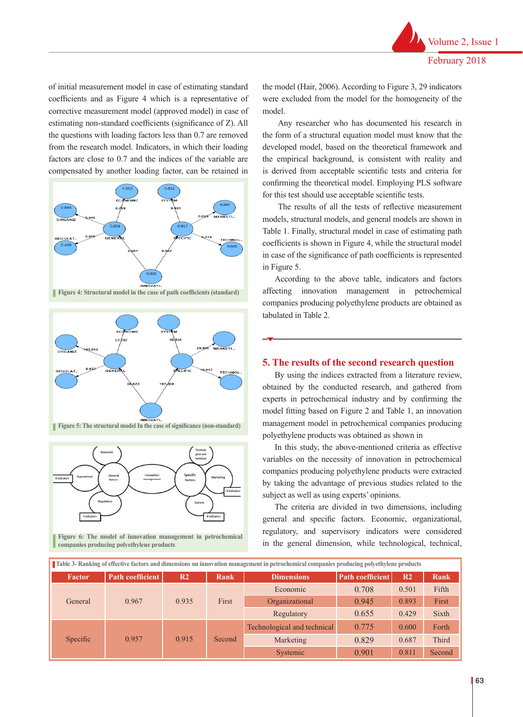of initial measurement model in case of estimating standard coefficients and as Figure 4 which is a representative of corrective measurement model (approved model) in case of estimating non-standard coefficients (significance of Z). All the questions with loading factors less than 0.7 are removed from the research model. Indicators, in which their loading factors are close to 0.7 and the indices of the variable are compensated by another loading factor, can be retained in





**Figure 5: The structural model In the case of significance (non-standard)** 



**Figure 6: <b>Figure 6: Figure 6:** *The model of innovation management* **in periodic companies producing polyethylene products** 

the model (Hair, 2006). According to Figure 3, 29 indicators were excluded from the model for the homogeneity of the model.

 Any researcher who has documented his research in the form of a structural equation model must know that the developed model, based on the theoretical framework and the empirical background, is consistent with reality and is derived from acceptable scientific tests and criteria for confirming the theoretical model. Employing PLS software for this test should use acceptable scientific tests.

 The results of all the tests of reflective measurement models, structural models, and general models are shown in Table 1. Finally, structural model in case of estimating path coefficients is shown in Figure 4, while the structural model in case of the significance of path coefficients is represented in Figure 5.

According to the above table, indicators and factors affecting innovation management in petrochemical companies producing polyethylene products are obtained as tabulated in Table 2.

### **5. The results of the second research question**

By using the indices extracted from a literature review, obtained by the conducted research, and gathered from experts in petrochemical industry and by confirming the model fitting based on Figure 2 and Table 1, an innovation management model in petrochemical companies producing polyethylene products was obtained as shown in

In this study, the above-mentioned criteria as effective variables on the necessity of innovation in petrochemical companies producing polyethylene products were extracted by taking the advantage of previous studies related to the subject as well as using experts' opinions.

The criteria are divided in two dimensions, including general and specific factors. Economic, organizational, regulatory, and supervisory indicators were considered Figure 6: The model of innovation management in petrochemical in the general dimension, while technological, technical, companies producing polyethylene products

| Table 3- Ranking of effective factors and dimensions on innovation management in petrochemical companies producing polyethylene products |                  |                |             |                             |                         |                |              |
|------------------------------------------------------------------------------------------------------------------------------------------|------------------|----------------|-------------|-----------------------------|-------------------------|----------------|--------------|
| <b>Factor</b>                                                                                                                            | Path coefficient | R <sub>2</sub> | <b>Rank</b> | <b>Dimensions</b>           | <b>Path coefficient</b> | R <sub>2</sub> | Rank         |
| General                                                                                                                                  | 0.967            | 0.935          | First       | Economic                    | 0.708                   | 0.501          | Fifth        |
|                                                                                                                                          |                  |                |             | Organizational              | 0.945                   | 0.893          | First        |
|                                                                                                                                          |                  |                |             | Regulatory                  | 0.655                   | 0.429          | <b>Sixth</b> |
| Specific                                                                                                                                 | 0.957            | 0.915          | Second      | Technological and technical | 0.775                   | 0.600          | Forth        |
|                                                                                                                                          |                  |                |             | Marketing                   | 0.829                   | 0.687          | <b>Third</b> |
|                                                                                                                                          |                  |                |             | Systemic                    | 0.901                   | 0.811          | Second       |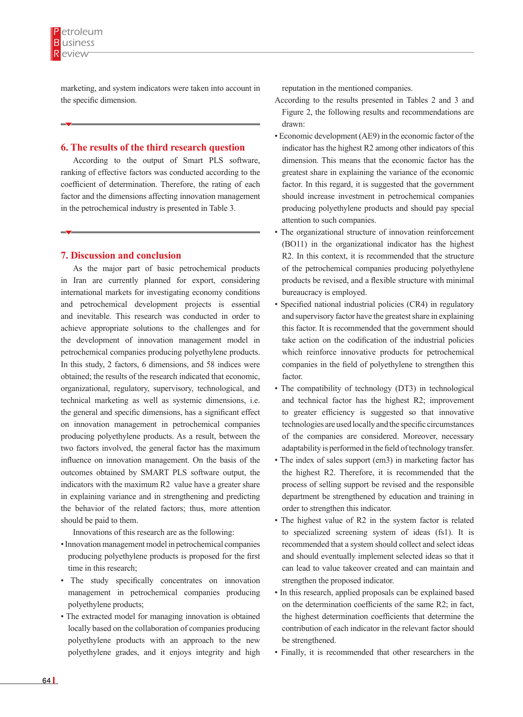marketing, and system indicators were taken into account in the specific dimension.

#### **6. The results of the third research question**

According to the output of Smart PLS software, ranking of effective factors was conducted according to the coefficient of determination. Therefore, the rating of each factor and the dimensions affecting innovation management in the petrochemical industry is presented in Table 3.

#### **7. Discussion and conclusion**

As the major part of basic petrochemical products in Iran are currently planned for export, considering international markets for investigating economy conditions and petrochemical development projects is essential and inevitable. This research was conducted in order to achieve appropriate solutions to the challenges and for the development of innovation management model in petrochemical companies producing polyethylene products. In this study, 2 factors, 6 dimensions, and 58 indices were obtained; the results of the research indicated that economic, organizational, regulatory, supervisory, technological, and technical marketing as well as systemic dimensions, i.e. the general and specific dimensions, has a significant effect on innovation management in petrochemical companies producing polyethylene products. As a result, between the two factors involved, the general factor has the maximum influence on innovation management. On the basis of the outcomes obtained by SMART PLS software output, the indicators with the maximum R2 value have a greater share in explaining variance and in strengthening and predicting the behavior of the related factors; thus, more attention should be paid to them.

Innovations of this research are as the following:

- Innovation management model in petrochemical companies producing polyethylene products is proposed for the first time in this research;
- The study specifically concentrates on innovation management in petrochemical companies producing polyethylene products;
- The extracted model for managing innovation is obtained locally based on the collaboration of companies producing polyethylene products with an approach to the new polyethylene grades, and it enjoys integrity and high

reputation in the mentioned companies.

- According to the results presented in Tables 2 and 3 and Figure 2, the following results and recommendations are drawn:
- Economic development (AE9) in the economic factor of the indicator has the highest R2 among other indicators of this dimension. This means that the economic factor has the greatest share in explaining the variance of the economic factor. In this regard, it is suggested that the government should increase investment in petrochemical companies producing polyethylene products and should pay special attention to such companies.
- The organizational structure of innovation reinforcement (BO11) in the organizational indicator has the highest R2. In this context, it is recommended that the structure of the petrochemical companies producing polyethylene products be revised, and a flexible structure with minimal bureaucracy is employed.
- Specified national industrial policies (CR4) in regulatory and supervisory factor have the greatest share in explaining this factor. It is recommended that the government should take action on the codification of the industrial policies which reinforce innovative products for petrochemical companies in the field of polyethylene to strengthen this factor.
- The compatibility of technology (DT3) in technological and technical factor has the highest R2; improvement to greater efficiency is suggested so that innovative technologies are used locally and the specific circumstances of the companies are considered. Moreover, necessary adaptability is performed in the field of technology transfer.
- The index of sales support (em3) in marketing factor has the highest R2. Therefore, it is recommended that the process of selling support be revised and the responsible department be strengthened by education and training in order to strengthen this indicator.
- The highest value of R2 in the system factor is related to specialized screening system of ideas (fs1). It is recommended that a system should collect and select ideas and should eventually implement selected ideas so that it can lead to value takeover created and can maintain and strengthen the proposed indicator.
- In this research, applied proposals can be explained based on the determination coefficients of the same R2; in fact, the highest determination coefficients that determine the contribution of each indicator in the relevant factor should be strengthened.
- Finally, it is recommended that other researchers in the